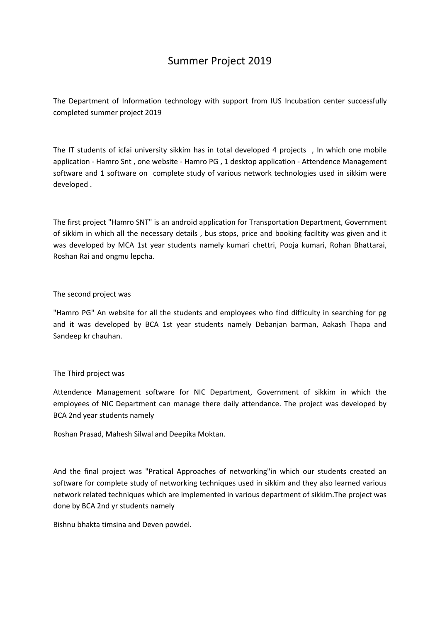### Summer Project 2019

The Department of Information technology with support from IUS Incubation center successfully completed summer project 2019

The IT students of icfai university sikkim has in total developed 4 projects , In which one mobile application - Hamro Snt , one website - Hamro PG , 1 desktop application - Attendence Management software and 1 software on complete study of various network technologies used in sikkim were developed .

The first project "Hamro SNT" is an android application for Transportation Department, Government of sikkim in which all the necessary details , bus stops, price and booking faciltity was given and it was developed by MCA 1st year students namely kumari chettri, Pooja kumari, Rohan Bhattarai, Roshan Rai and ongmu lepcha.

#### The second project was

"Hamro PG" An website for all the students and employees who find difficulty in searching for pg and it was developed by BCA 1st year students namely Debanjan barman, Aakash Thapa and Sandeep kr chauhan.

#### The Third project was

Attendence Management software for NIC Department, Government of sikkim in which the employees of NIC Department can manage there daily attendance. The project was developed by BCA 2nd year students namely

Roshan Prasad, Mahesh Silwal and Deepika Moktan.

And the final project was "Pratical Approaches of networking"in which our students created an software for complete study of networking techniques used in sikkim and they also learned various network related techniques which are implemented in various department of sikkim.The project was done by BCA 2nd yr students namely

Bishnu bhakta timsina and Deven powdel.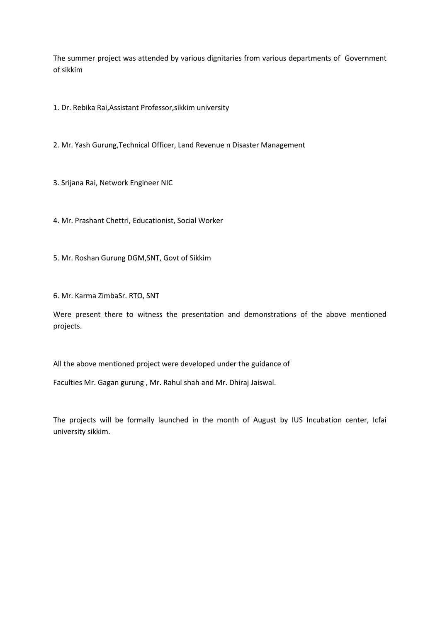The summer project was attended by various dignitaries from various departments of Government of sikkim

1. Dr. Rebika Rai,Assistant Professor,sikkim university

2. Mr. Yash Gurung,Technical Officer, Land Revenue n Disaster Management

3. Srijana Rai, Network Engineer NIC

4. Mr. Prashant Chettri, Educationist, Social Worker

5. Mr. Roshan Gurung DGM,SNT, Govt of Sikkim

6. Mr. Karma ZimbaSr. RTO, SNT

Were present there to witness the presentation and demonstrations of the above mentioned projects.

All the above mentioned project were developed under the guidance of

Faculties Mr. Gagan gurung , Mr. Rahul shah and Mr. Dhiraj Jaiswal.

The projects will be formally launched in the month of August by IUS Incubation center, Icfai university sikkim.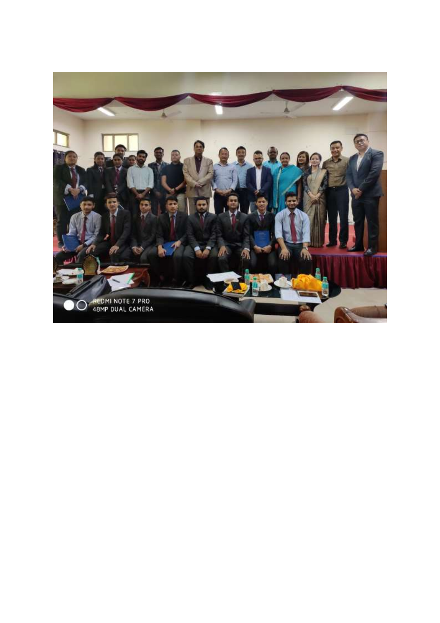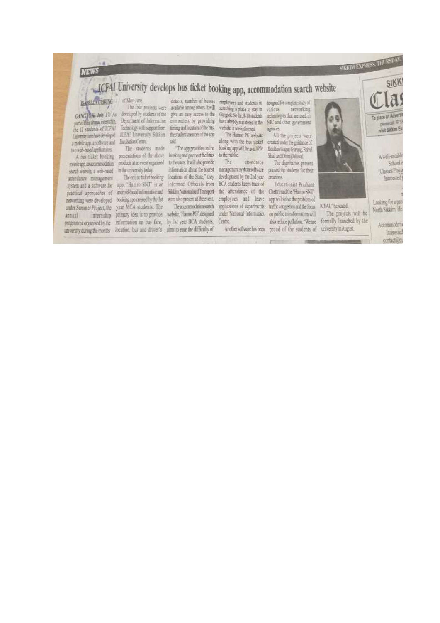# **NEWS**

## LICFAI University develops bus ticket booking app, accommodation search website

### BARLAGERING of May-June

the IT students of ICFAI a mobile app, a software and Incubation Centre. two web-based applications.

search website, a web-based in the university today. attendance management university during the months location, bus and driver's aims to ease the difficulty of

University here have developed KFAI University Sikkim the student creators of the app The students made

maileagu macommodation products at an event organised to the users. It will also provide

system and a software for upp, "Hamro SNT' is an informed. Officials from BCA students keeps track of practical approaches of andoxid-based mixmutive-and Sikkim Nationalised Transport the attendance of the Chettrisaid the Hamm SNT networking were developed booking app created by the lat were also present at the event. employees and leave app will solve the problem of under Summer Project, the year MCA students. The The accommodators senth applications of departments traffic congestion and the focus

The four projects were gouldn's among others II will watching a place to stay in various GANGTON, July 17: As developed by students of the give an easy access to the Gangtok So far 3-10 students nechadoges that are used in part of their abread interestip. Department of Information commuters by providing have sheady registered in the NIC and ofter government Technology with support from timing and location of the bus, website, it was informed sail.

A but ticket booking presentations of the above booking and payment facilities to the public. information about the tourist management system software praised the students for their The online ticket booking locations of the State," they development by the 2nd year creations.

annual internship primary idea is to provide website, Hamm PG designed under National Informaties on public transformation will programme organssed by the information on bus fare, by 1st year BCA students, Centre.

details, number of busses employees and students in designed for complete study of The Hamro PG website

"The app provides online booking app will be available faculties Gagae Garung, Rahul The attendance

networking agnoss

All the projects were along with the bus ticket created under the guidance of Shah and Dhiraj Jaiswal

The dignituries present

Educationist Prashant



contacturo.

SIKKIM EXPRESS, THURSDAY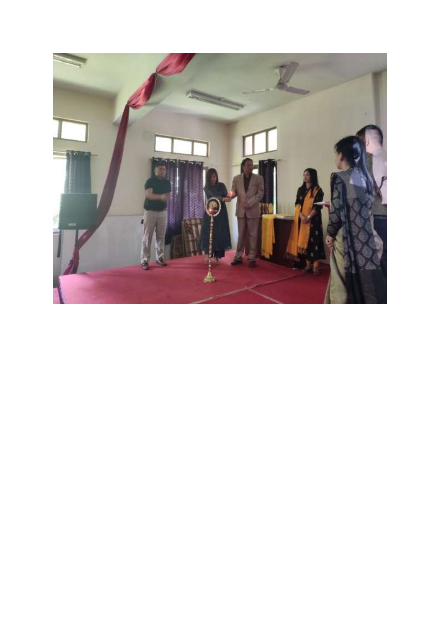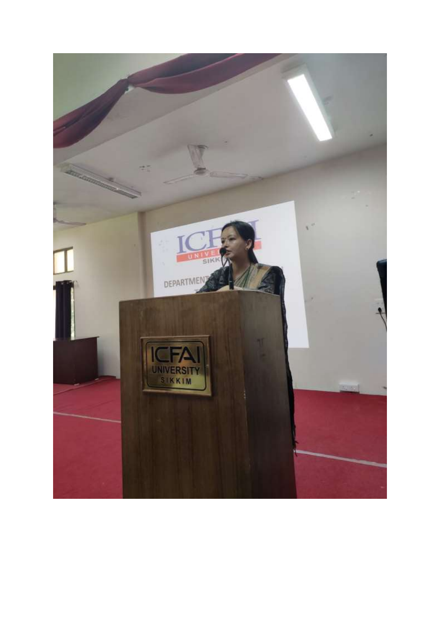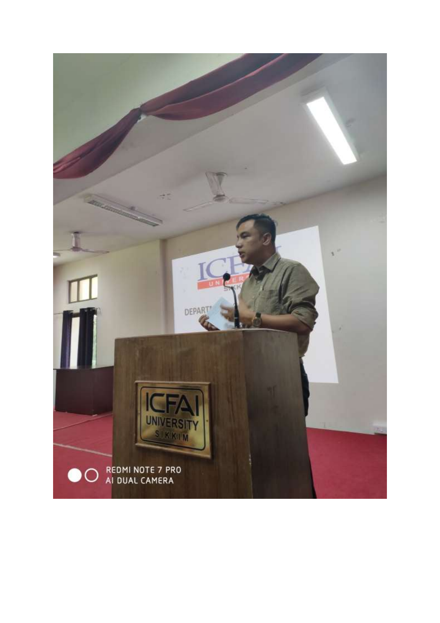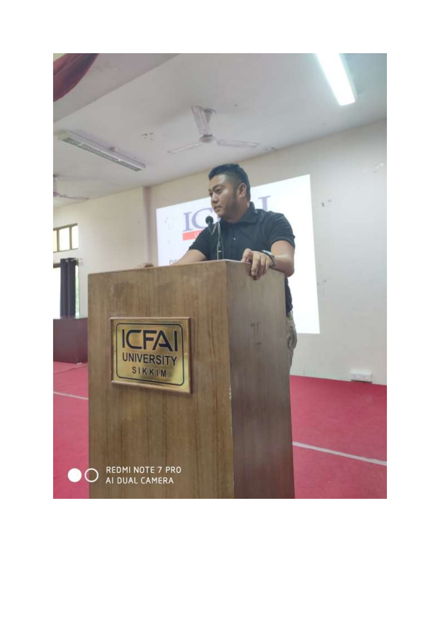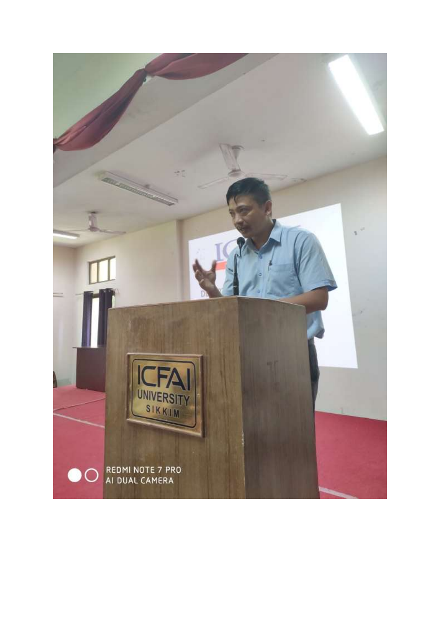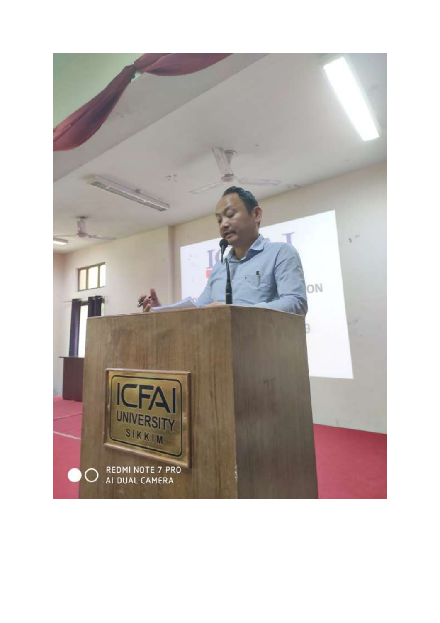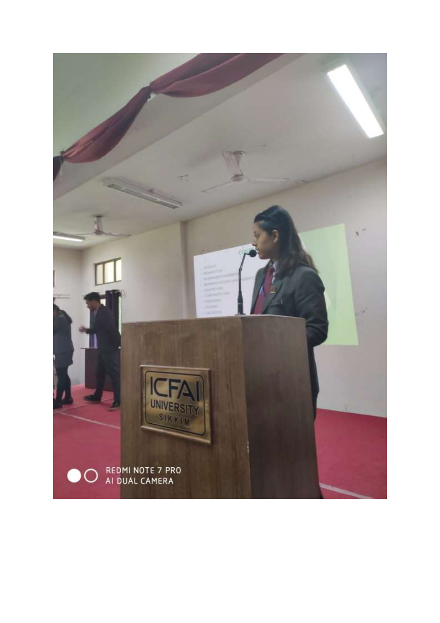